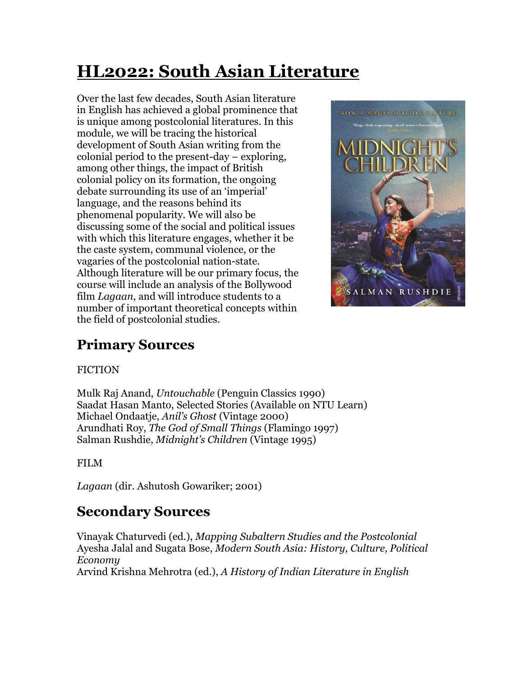# **HL2022: South Asian Literature**

Over the last few decades, South Asian literature in English has achieved a global prominence that is unique among postcolonial literatures. In this module, we will be tracing the historical development of South Asian writing from the colonial period to the present-day – exploring, among other things, the impact of British colonial policy on its formation, the ongoing debate surrounding its use of an 'imperial' language, and the reasons behind its phenomenal popularity. We will also be discussing some of the social and political issues with which this literature engages, whether it be the caste system, communal violence, or the vagaries of the postcolonial nation-state. Although literature will be our primary focus, the course will include an analysis of the Bollywood film *Lagaan*, and will introduce students to a number of important theoretical concepts within the field of postcolonial studies.



# **Primary Sources**

#### **FICTION**

Mulk Raj Anand, *Untouchable* (Penguin Classics 1990) Saadat Hasan Manto, Selected Stories (Available on NTU Learn) Michael Ondaatje, *Anil's Ghost* (Vintage 2000) Arundhati Roy, *The God of Small Things* (Flamingo 1997) Salman Rushdie, *Midnight's Children* (Vintage 1995)

#### FILM

*Lagaan* (dir. Ashutosh Gowariker; 2001)

# **Secondary Sources**

Vinayak Chaturvedi (ed.), *Mapping Subaltern Studies and the Postcolonial* Ayesha Jalal and Sugata Bose, *Modern South Asia: History, Culture, Political Economy*

Arvind Krishna Mehrotra (ed.), *A History of Indian Literature in English*